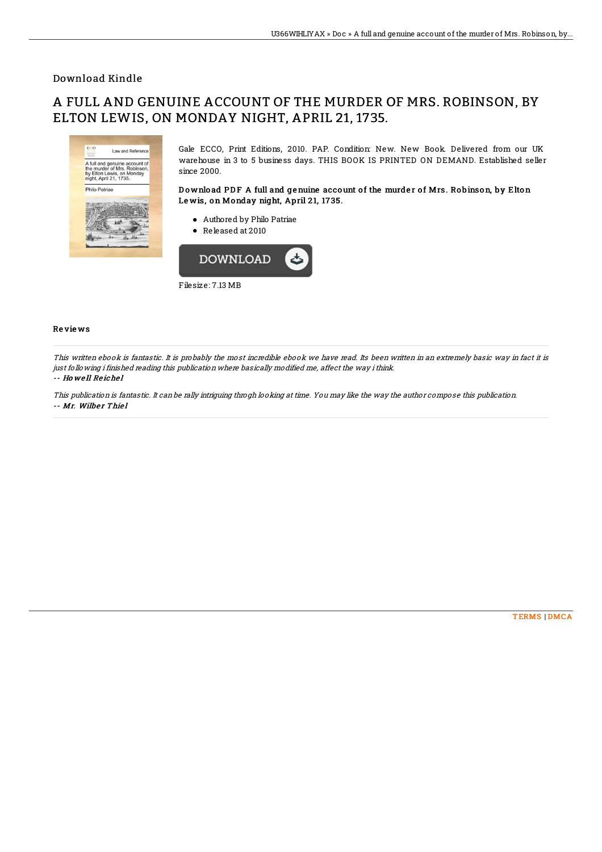## Download Kindle

## A FULL AND GENUINE ACCOUNT OF THE MURDER OF MRS. ROBINSON, BY ELTON LEWIS, ON MONDAY NIGHT, APRIL 21, 1735.



Filesize: 7.13 MB

## Re vie ws

This written ebook is fantastic. It is probably the most incredible ebook we have read. Its been written in an extremely basic way in fact it is just following i finished reading this publication where basically modified me, affect the way ithink. -- Ho we ll Re iche l

This publication is fantastic. It can be rally intriguing throgh looking at time. You may like the way the author compose this publication. -- Mr. Wilber Thiel